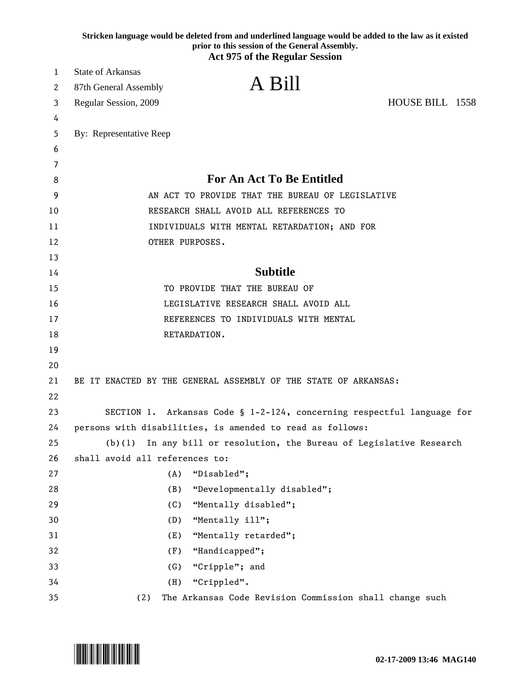|    | Stricken language would be deleted from and underlined language would be added to the law as it existed<br>prior to this session of the General Assembly. |                 |  |
|----|-----------------------------------------------------------------------------------------------------------------------------------------------------------|-----------------|--|
|    | <b>Act 975 of the Regular Session</b>                                                                                                                     |                 |  |
| 1  | <b>State of Arkansas</b>                                                                                                                                  |                 |  |
| 2  | A Bill<br>87th General Assembly                                                                                                                           |                 |  |
| 3  | Regular Session, 2009                                                                                                                                     | HOUSE BILL 1558 |  |
| 4  |                                                                                                                                                           |                 |  |
| 5  | By: Representative Reep                                                                                                                                   |                 |  |
| 6  |                                                                                                                                                           |                 |  |
| 7  |                                                                                                                                                           |                 |  |
| 8  | <b>For An Act To Be Entitled</b>                                                                                                                          |                 |  |
| 9  | AN ACT TO PROVIDE THAT THE BUREAU OF LEGISLATIVE                                                                                                          |                 |  |
| 10 | RESEARCH SHALL AVOID ALL REFERENCES TO                                                                                                                    |                 |  |
| 11 | INDIVIDUALS WITH MENTAL RETARDATION; AND FOR                                                                                                              |                 |  |
| 12 | OTHER PURPOSES.                                                                                                                                           |                 |  |
| 13 |                                                                                                                                                           |                 |  |
| 14 | <b>Subtitle</b>                                                                                                                                           |                 |  |
| 15 | TO PROVIDE THAT THE BUREAU OF                                                                                                                             |                 |  |
| 16 | LEGISLATIVE RESEARCH SHALL AVOID ALL                                                                                                                      |                 |  |
| 17 | REFERENCES TO INDIVIDUALS WITH MENTAL                                                                                                                     |                 |  |
| 18 | RETARDATION.                                                                                                                                              |                 |  |
| 19 |                                                                                                                                                           |                 |  |
| 20 |                                                                                                                                                           |                 |  |
| 21 | BE IT ENACTED BY THE GENERAL ASSEMBLY OF THE STATE OF ARKANSAS:                                                                                           |                 |  |
| 22 |                                                                                                                                                           |                 |  |
| 23 | SECTION 1. Arkansas Code § 1-2-124, concerning respectful language for                                                                                    |                 |  |
| 24 | persons with disabilities, is amended to read as follows:                                                                                                 |                 |  |
| 25 | (b)(1)<br>In any bill or resolution, the Bureau of Legislative Research                                                                                   |                 |  |
| 26 | shall avoid all references to:                                                                                                                            |                 |  |
| 27 | "Disabled";<br>(A)                                                                                                                                        |                 |  |
| 28 | (B)<br>"Developmentally disabled";                                                                                                                        |                 |  |
| 29 | (C)<br>"Mentally disabled";                                                                                                                               |                 |  |
| 30 | (D)<br>"Mentally ill";                                                                                                                                    |                 |  |
| 31 | (E)<br>"Mentally retarded";                                                                                                                               |                 |  |
| 32 | (F)<br>"Handicapped";                                                                                                                                     |                 |  |
| 33 | "Cripple"; and<br>(G)                                                                                                                                     |                 |  |
| 34 | (H)<br>"Crippled".                                                                                                                                        |                 |  |
| 35 | The Arkansas Code Revision Commission shall change such<br>(2)                                                                                            |                 |  |